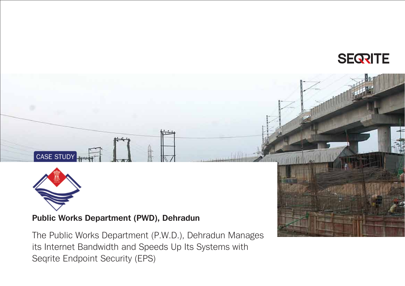



CASE STUDY

**Public Works Department (PWD), Dehradun**

The Public Works Department (P.W.D.), Dehradun Manages its Internet Bandwidth and Speeds Up Its Systems with Seqrite Endpoint Security (EPS)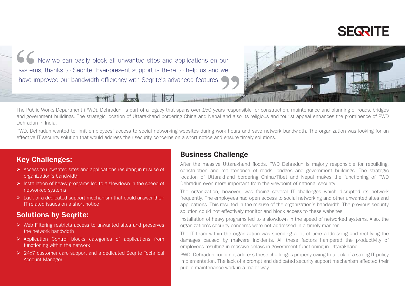

K Now we can easily block all unwanted sites and applications on our systems, thanks to Segrite. Ever-present support is there to help us and we have improved our bandwidth efficiency with Segrite's advanced features.



The Public Works Department (PWD), Dehradun, is part of a legacy that spans over 150 years responsible for construction, maintenance and planning of roads, bridges and government buildings. The strategic location of Uttarakhand bordering China and Nepal and also its religious and tourist appeal enhances the prominence of PWD Dehradun in India.

PWD, Dehradun wanted to limit employees' access to social networking websites during work hours and save network bandwidth. The organization was looking for an effective IT security solution that would address their security concerns on a short notice and ensure timely solutions.

#### **Key Challenges:**

- $\triangleright$  Access to unwanted sites and applications resulting in misuse of organization's bandwidth
- $\triangleright$  Installation of heavy programs led to a slowdown in the speed of networked systems
- $\triangleright$  Lack of a dedicated support mechanism that could answer their IT related issues on a short notice

#### **Solutions by Seqrite:**

- $\triangleright$  Web Filtering restricts access to unwanted sites and preserves the network bandwidth
- $\triangleright$  Application Control blocks categories of applications from functioning within the network
- ▶ 24x7 customer care support and a dedicated Segrite Technical Account Manager

#### **Business Challenge**

After the massive Uttarakhand floods, PWD Dehradun is majorly responsible for rebuilding, construction and maintenance of roads, bridges and government buildings. The strategic location of Uttarakhand bordering China/Tibet and Nepal makes the functioning of PWD Dehradun even more important from the viewpoint of national security.

The organization, however, was facing several IT challenges which disrupted its network frequently. The employees had open access to social networking and other unwanted sites and applications. This resulted in the misuse of the organization's bandwidth. The previous security solution could not effectively monitor and block access to these websites.

Installation of heavy programs led to a slowdown in the speed of networked systems. Also, the organization's security concerns were not addressed in a timely manner.

The IT team within the organization was spending a lot of time addressing and rectifying the damages caused by malware incidents. All these factors hampered the productivity of employees resulting in massive delays in government functioning in Uttarakhand.

PWD, Dehradun could not address these challenges properly owing to a lack of a strong IT policy implementation. The lack of a prompt and dedicated security support mechanism affected their public maintenance work in a major way.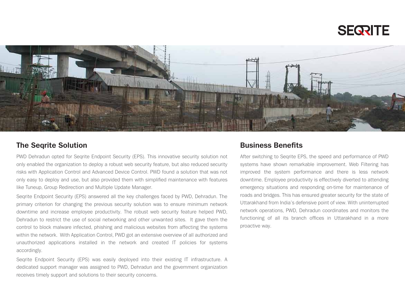



#### **The Seqrite Solution**

PWD Dehradun opted for Seqrite Endpoint Security (EPS). This innovative security solution not only enabled the organization to deploy a robust web security feature, but also reduced security risks with Application Control and Advanced Device Control. PWD found a solution that was not only easy to deploy and use, but also provided them with simplified maintenance with features like Tuneup, Group Redirection and Multiple Update Manager.

Seqrite Endpoint Security (EPS) answered all the key challenges faced by PWD, Dehradun. The primary criterion for changing the previous security solution was to ensure minimum network downtime and increase employee productivity. The robust web security feature helped PWD, Dehradun to restrict the use of social networking and other unwanted sites. It gave them the control to block malware infected, phishing and malicious websites from affecting the systems within the network. With Application Control, PWD got an extensive overview of all authorized and unauthorized applications installed in the network and created IT policies for systems accordingly.

Seqrite Endpoint Security (EPS) was easily deployed into their existing IT infrastructure. A dedicated support manager was assigned to PWD, Dehradun and the government organization receives timely support and solutions to their security concerns.

#### **Business Benefits**

After switching to Seqrite EPS, the speed and performance of PWD systems have shown remarkable improvement. Web Filtering has improved the system performance and there is less network downtime. Employee productivity is effectively diverted to attending emergency situations and responding on-time for maintenance of roads and bridges. This has ensured greater security for the state of Uttarakhand from India's defensive point of view. With uninterrupted network operations, PWD, Dehradun coordinates and monitors the functioning of all its branch offices in Uttarakhand in a more proactive way.